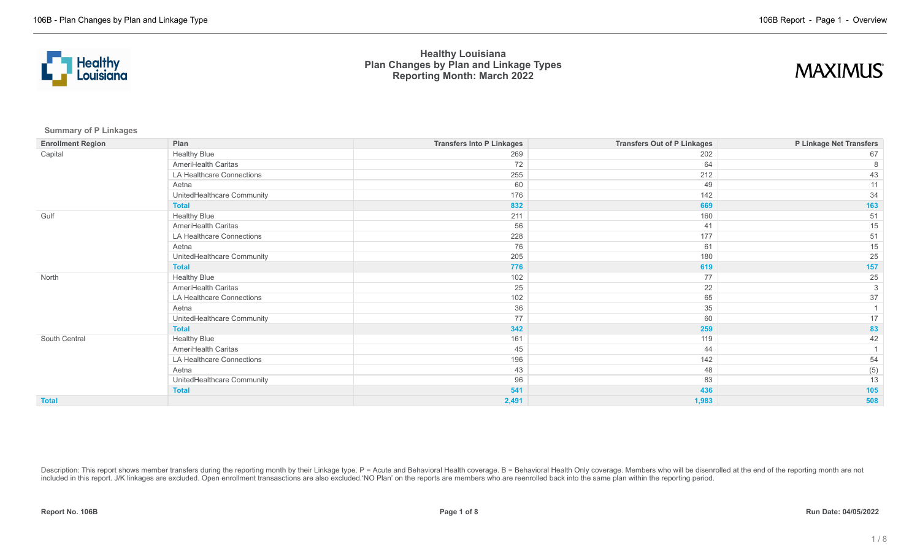



**Summary of P Linkages**

| <b>Enrollment Region</b> | Plan                       | <b>Transfers Into P Linkages</b> | <b>Transfers Out of P Linkages</b> | P Linkage Net Transfers |
|--------------------------|----------------------------|----------------------------------|------------------------------------|-------------------------|
| Capital                  | <b>Healthy Blue</b>        | 269                              | 202                                | 67                      |
|                          | AmeriHealth Caritas        | 72                               | 64                                 |                         |
|                          | LA Healthcare Connections  | 255                              | 212                                | 43                      |
|                          | Aetna                      | 60                               | 49                                 | 11                      |
|                          | UnitedHealthcare Community | 176                              | 142                                | 34                      |
|                          | <b>Total</b>               | 832                              | 669                                | 163                     |
| Gulf                     | <b>Healthy Blue</b>        | 211                              | 160                                | 51                      |
|                          | AmeriHealth Caritas        | 56                               | 41                                 | 15                      |
|                          | LA Healthcare Connections  | 228                              | 177                                | 51                      |
|                          | Aetna                      | 76                               | 61                                 | 15                      |
|                          | UnitedHealthcare Community | 205                              | 180                                | 25                      |
|                          | <b>Total</b>               | 776                              | 619                                | 157                     |
| North                    | <b>Healthy Blue</b>        | 102                              | 77                                 | 25                      |
|                          | AmeriHealth Caritas        | 25                               | 22                                 | 3                       |
|                          | LA Healthcare Connections  | 102                              | 65                                 | 37                      |
|                          | Aetna                      | 36                               | 35                                 |                         |
|                          | UnitedHealthcare Community | 77                               | 60                                 | 17                      |
|                          | <b>Total</b>               | 342                              | 259                                | 83                      |
| South Central            | <b>Healthy Blue</b>        | 161                              | 119                                | 42                      |
|                          | AmeriHealth Caritas        | 45                               | 44                                 |                         |
|                          | LA Healthcare Connections  | 196                              | 142                                | 54                      |
|                          | Aetna                      | 43                               | 48                                 | (5)                     |
|                          | UnitedHealthcare Community | 96                               | 83                                 | 13                      |
|                          | <b>Total</b>               | 541                              | 436                                | 105                     |
| <b>Total</b>             |                            | 2,491                            | 1,983                              | 508                     |

Description: This report shows member transfers during the reporting month by their Linkage type. P = Acute and Behavioral Health coverage. B = Behavioral Health Only coverage. Members who will be disenrolled at the end of included in this report. J/K linkages are excluded. Open enrollment transasctions are also excluded.'NO Plan' on the reports are members who are reenrolled back into the same plan within the reporting period.

**Report No. 106B Page 1 of 8 Run Date: 04/05/2022**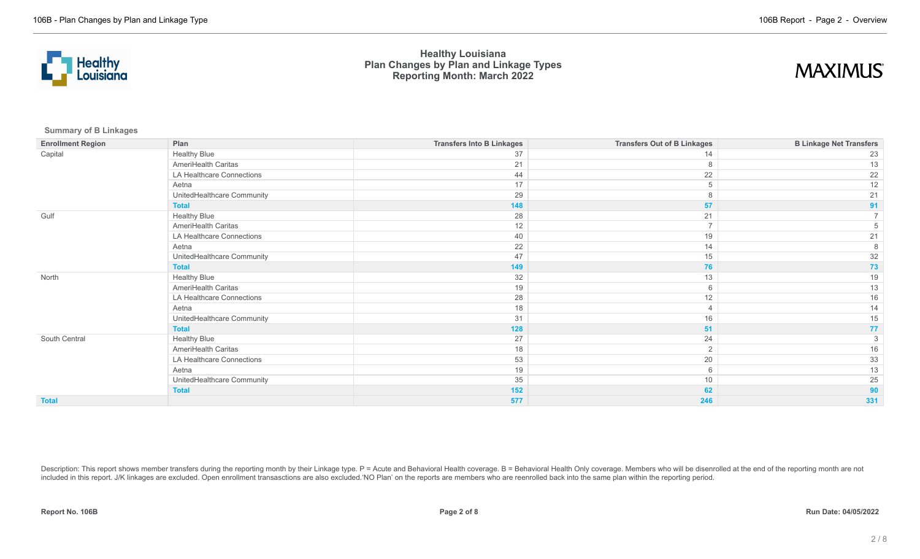



**Summary of B Linkages**

| <b>Enrollment Region</b> | Plan                       | <b>Transfers Into B Linkages</b> | <b>Transfers Out of B Linkages</b> | <b>B Linkage Net Transfers</b> |
|--------------------------|----------------------------|----------------------------------|------------------------------------|--------------------------------|
| Capital                  | <b>Healthy Blue</b>        | 37                               | 14                                 | 23                             |
|                          | AmeriHealth Caritas        | 21                               | 8                                  | 13                             |
|                          | LA Healthcare Connections  | 44                               | 22                                 | 22                             |
|                          | Aetna                      | 17                               | 5                                  | 12                             |
|                          | UnitedHealthcare Community | 29                               | 8                                  | 21                             |
|                          | <b>Total</b>               | 148                              | 57                                 | 91                             |
| Gulf                     | <b>Healthy Blue</b>        | 28                               | 21                                 |                                |
|                          | AmeriHealth Caritas        | 12                               | $\overline{7}$                     |                                |
|                          | LA Healthcare Connections  | 40                               | 19                                 | 21                             |
|                          | Aetna                      | 22                               | 14                                 |                                |
|                          | UnitedHealthcare Community | 47                               | 15                                 | 32                             |
|                          | <b>Total</b>               | 149                              | 76                                 | 73                             |
| North                    | <b>Healthy Blue</b>        | 32                               | 13                                 | 19                             |
|                          | AmeriHealth Caritas        | 19                               | 6                                  | 13                             |
|                          | LA Healthcare Connections  | 28                               | 12                                 | 16                             |
|                          | Aetna                      | 18                               |                                    | 14                             |
|                          | UnitedHealthcare Community | 31                               | 16                                 | 15                             |
|                          | <b>Total</b>               | 128                              | 51                                 | 77                             |
| South Central            | <b>Healthy Blue</b>        | 27                               | 24                                 |                                |
|                          | AmeriHealth Caritas        | 18                               | 2                                  | 16                             |
|                          | LA Healthcare Connections  | 53                               | 20                                 | 33                             |
|                          | Aetna                      | 19                               | 6                                  | 13                             |
|                          | UnitedHealthcare Community | 35                               | $10$                               | 25                             |
|                          | <b>Total</b>               | 152                              | 62                                 | 90                             |
| <b>Total</b>             |                            | 577                              | 246                                | 331                            |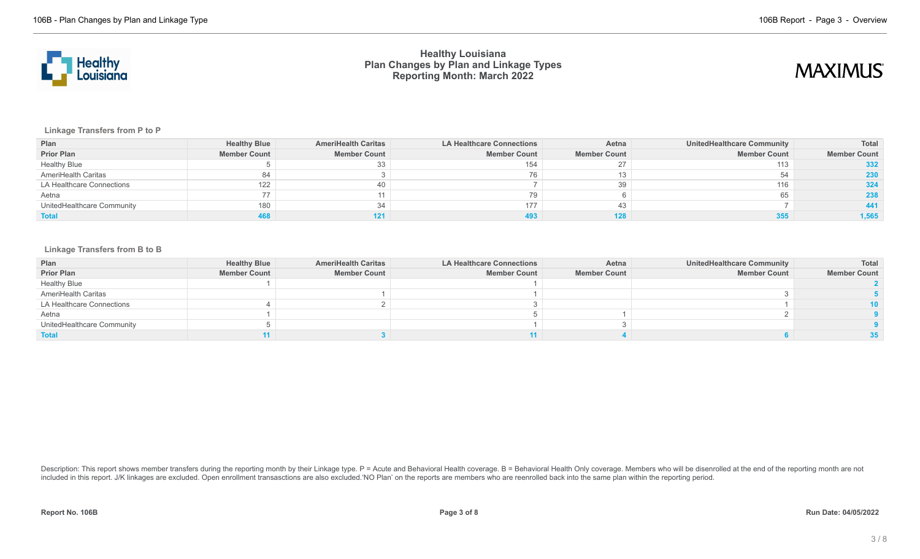



**Linkage Transfers from P to P**

| Plan                       | <b>Healthy Blue</b> | <b>AmeriHealth Caritas</b> | <b>LA Healthcare Connections</b> | Aetna               | UnitedHealthcare Community | Total               |
|----------------------------|---------------------|----------------------------|----------------------------------|---------------------|----------------------------|---------------------|
| <b>Prior Plan</b>          | <b>Member Count</b> | <b>Member Count</b>        | <b>Member Count</b>              | <b>Member Count</b> | <b>Member Count</b>        | <b>Member Count</b> |
| <b>Healthy Blue</b>        |                     | 33                         |                                  |                     | 113                        | 332                 |
| AmeriHealth Caritas        | 84                  |                            |                                  |                     |                            | 230                 |
| LA Healthcare Connections  | 122                 | 40                         |                                  | 39                  | 116                        | 324                 |
| Aetna                      | 77                  |                            |                                  |                     |                            | 238                 |
| UnitedHealthcare Community | 180                 | 34                         | 177                              | 43                  |                            |                     |
| <b>Total</b>               |                     | 121                        |                                  |                     |                            | 1,565               |

### **Linkage Transfers from B to B**

| Plan                       | <b>Healthy Blue</b> | <b>AmeriHealth Caritas</b> | <b>LA Healthcare Connections</b> | Aetna               | <b>UnitedHealthcare Community</b> | Total               |
|----------------------------|---------------------|----------------------------|----------------------------------|---------------------|-----------------------------------|---------------------|
| <b>Prior Plan</b>          | <b>Member Count</b> | <b>Member Count</b>        | <b>Member Count</b>              | <b>Member Count</b> | <b>Member Count</b>               | <b>Member Count</b> |
| <b>Healthy Blue</b>        |                     |                            |                                  |                     |                                   |                     |
| AmeriHealth Caritas        |                     |                            |                                  |                     |                                   |                     |
| LA Healthcare Connections  |                     |                            |                                  |                     |                                   | 10                  |
| Aetna                      |                     |                            |                                  |                     |                                   |                     |
| UnitedHealthcare Community |                     |                            |                                  |                     |                                   |                     |
| <b>Total</b>               |                     |                            |                                  |                     |                                   |                     |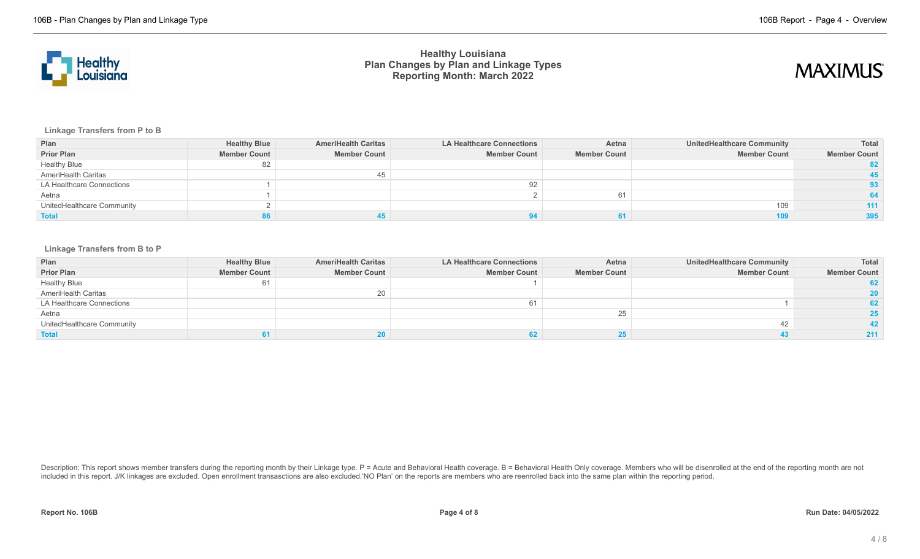



**Linkage Transfers from P to B**

| Plan                       | <b>Healthy Blue</b> | <b>AmeriHealth Caritas</b> | <b>LA Healthcare Connections</b> | Aetna               | <b>UnitedHealthcare Community</b> | Total               |
|----------------------------|---------------------|----------------------------|----------------------------------|---------------------|-----------------------------------|---------------------|
| <b>Prior Plan</b>          | <b>Member Count</b> | <b>Member Count</b>        | <b>Member Count</b>              | <b>Member Count</b> | <b>Member Count</b>               | <b>Member Count</b> |
| <b>Healthy Blue</b>        | 82                  |                            |                                  |                     |                                   | 82.                 |
| AmeriHealth Caritas        |                     | 45                         |                                  |                     |                                   |                     |
| LA Healthcare Connections  |                     |                            | 92                               |                     |                                   | 93.                 |
| Aetna                      |                     |                            |                                  | 61                  |                                   |                     |
| UnitedHealthcare Community |                     |                            |                                  |                     | 109                               | 111                 |
| <b>Total</b>               |                     |                            |                                  |                     |                                   | 395                 |

#### **Linkage Transfers from B to P**

| Plan                       | <b>Healthy Blue</b> | <b>AmeriHealth Caritas</b> | <b>LA Healthcare Connections</b> | Aetna               | <b>UnitedHealthcare Community</b> | <b>Total</b>        |
|----------------------------|---------------------|----------------------------|----------------------------------|---------------------|-----------------------------------|---------------------|
| <b>Prior Plan</b>          | <b>Member Count</b> | <b>Member Count</b>        | <b>Member Count</b>              | <b>Member Count</b> | <b>Member Count</b>               | <b>Member Count</b> |
| <b>Healthy Blue</b>        | 61                  |                            |                                  |                     |                                   |                     |
| AmeriHealth Caritas        |                     | 20                         |                                  |                     |                                   | <b>20</b>           |
| LA Healthcare Connections  |                     |                            |                                  |                     |                                   | 62                  |
| Aetna                      |                     |                            |                                  |                     |                                   | 25                  |
| UnitedHealthcare Community |                     |                            |                                  |                     |                                   | 42                  |
| <b>Total</b>               |                     |                            |                                  |                     |                                   | 211                 |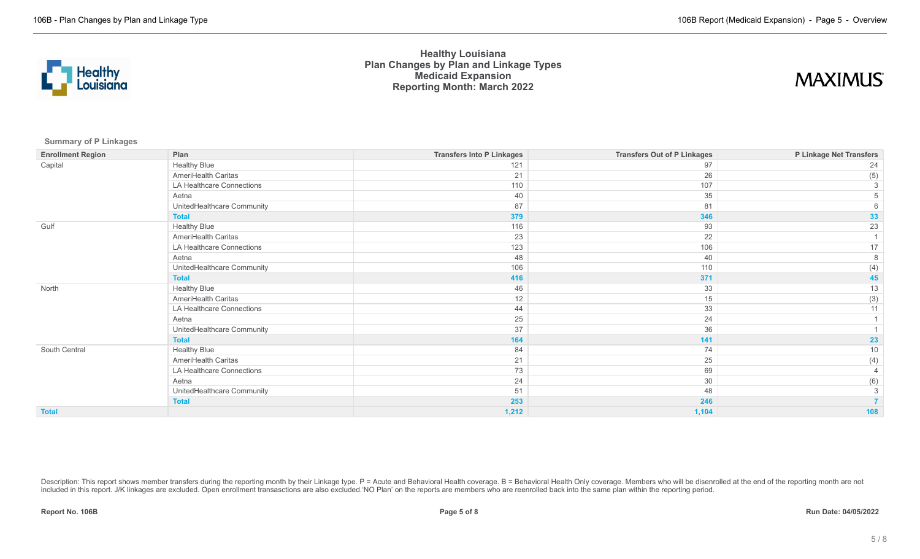

## **MAXIMUS**

**Summary of P Linkages**

| <b>Enrollment Region</b> | Plan                       | <b>Transfers Into P Linkages</b> | <b>Transfers Out of P Linkages</b> | P Linkage Net Transfers |
|--------------------------|----------------------------|----------------------------------|------------------------------------|-------------------------|
| Capital                  | <b>Healthy Blue</b>        | 121                              | 97                                 | 24                      |
|                          | AmeriHealth Caritas        | 21                               | 26                                 | (5)                     |
|                          | LA Healthcare Connections  | 110                              | 107                                | 3                       |
|                          | Aetna                      | 40                               | 35                                 |                         |
|                          | UnitedHealthcare Community | 87                               | 81                                 |                         |
|                          | <b>Total</b>               | 379                              | 346                                | 33                      |
| Gulf                     | <b>Healthy Blue</b>        | 116                              | 93                                 | 23                      |
|                          | AmeriHealth Caritas        | 23                               | 22                                 |                         |
|                          | LA Healthcare Connections  | 123                              | 106                                | 17                      |
|                          | Aetna                      | 48                               | 40                                 | 8                       |
|                          | UnitedHealthcare Community | 106                              | 110                                | (4)                     |
|                          | <b>Total</b>               | 416                              | 371                                | 45                      |
| North                    | <b>Healthy Blue</b>        | 46                               | 33                                 | 13                      |
|                          | AmeriHealth Caritas        | 12                               | 15                                 | (3)                     |
|                          | LA Healthcare Connections  | 44                               | 33                                 | 11                      |
|                          | Aetna                      | 25                               | 24                                 |                         |
|                          | UnitedHealthcare Community | 37                               | 36                                 |                         |
|                          | <b>Total</b>               | 164                              | 141                                | 23                      |
| South Central            | <b>Healthy Blue</b>        | 84                               | 74                                 | 10                      |
|                          | AmeriHealth Caritas        | 21                               | 25                                 | (4)                     |
|                          | LA Healthcare Connections  | 73                               | 69                                 | $\overline{4}$          |
|                          | Aetna                      | 24                               | 30                                 | (6)                     |
|                          | UnitedHealthcare Community | 51                               | 48                                 | 3                       |
|                          | <b>Total</b>               | 253                              | 246                                |                         |
| <b>Total</b>             |                            | 1,212                            | 1,104                              | 108                     |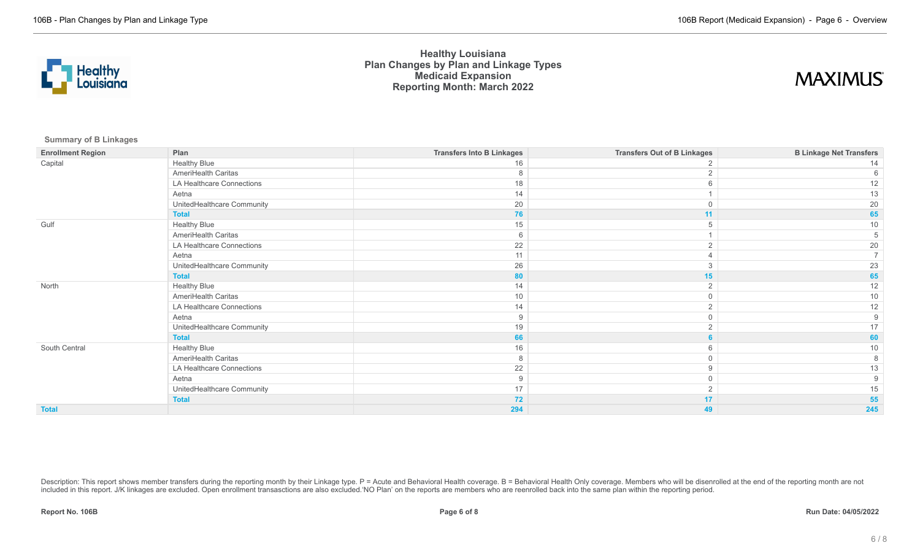

## **MAXIMUS**

**Summary of B Linkages**

| <b>Enrollment Region</b> | Plan                       | <b>Transfers Into B Linkages</b> | <b>Transfers Out of B Linkages</b> | <b>B Linkage Net Transfers</b> |
|--------------------------|----------------------------|----------------------------------|------------------------------------|--------------------------------|
| Capital                  | <b>Healthy Blue</b>        | 16                               |                                    |                                |
|                          | AmeriHealth Caritas        | 8                                |                                    |                                |
|                          | LA Healthcare Connections  | 18                               |                                    | 12                             |
|                          | Aetna                      | 14                               |                                    | 13                             |
|                          | UnitedHealthcare Community | 20                               |                                    | 20                             |
|                          | <b>Total</b>               | 76                               | 11                                 | 65                             |
| Gulf                     | <b>Healthy Blue</b>        | 15                               |                                    | 10                             |
|                          | AmeriHealth Caritas        | 6                                |                                    |                                |
|                          | LA Healthcare Connections  | 22                               |                                    | 20                             |
|                          | Aetna                      | 11                               |                                    |                                |
|                          | UnitedHealthcare Community | 26                               |                                    | 23                             |
|                          | <b>Total</b>               | 80                               | 15                                 | 65                             |
| North                    | <b>Healthy Blue</b>        | 14                               |                                    | 12                             |
|                          | AmeriHealth Caritas        | 10                               | $\Omega$                           | 10                             |
|                          | LA Healthcare Connections  | 14                               |                                    | 12                             |
|                          | Aetna                      | 9                                |                                    |                                |
|                          | UnitedHealthcare Community | 19                               |                                    |                                |
|                          | <b>Total</b>               | 66                               |                                    | 60                             |
| South Central            | <b>Healthy Blue</b>        | 16                               |                                    | 10                             |
|                          | AmeriHealth Caritas        | 8                                |                                    |                                |
|                          | LA Healthcare Connections  | 22                               | 9                                  |                                |
|                          | Aetna                      | 9                                | $\Omega$                           |                                |
|                          | UnitedHealthcare Community | 17                               |                                    | 15                             |
|                          | <b>Total</b>               | 72                               | 17                                 | 55                             |
| <b>Total</b>             |                            | 294                              | 49                                 | 245                            |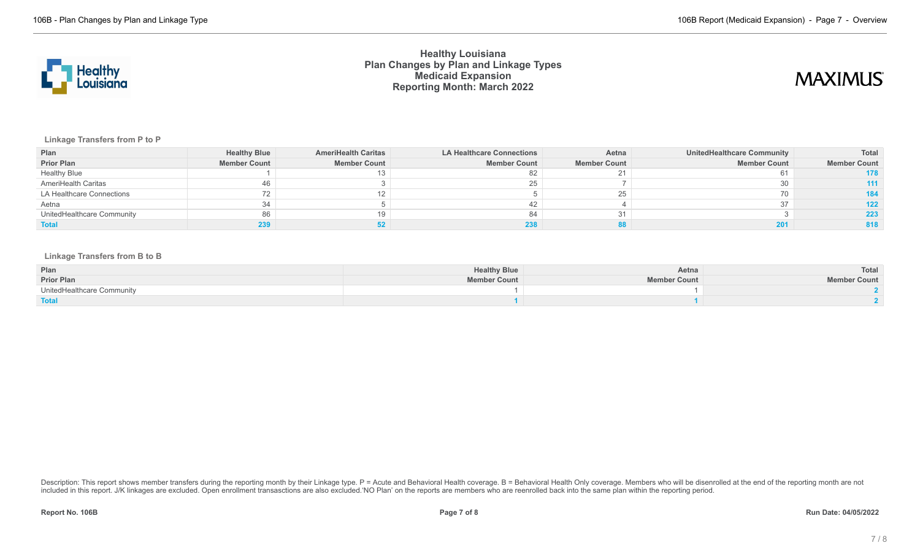

## **MAXIMUS**

### **Linkage Transfers from P to P**

| Plan                       | <b>Healthy Blue</b> | <b>AmeriHealth Caritas</b> | <b>LA Healthcare Connections</b> | Aetna               | <b>UnitedHealthcare Community</b> | Total               |
|----------------------------|---------------------|----------------------------|----------------------------------|---------------------|-----------------------------------|---------------------|
| <b>Prior Plan</b>          | <b>Member Count</b> | <b>Member Count</b>        | <b>Member Count</b>              | <b>Member Count</b> | <b>Member Count</b>               | <b>Member Count</b> |
| <b>Healthy Blue</b>        |                     |                            | 82                               |                     |                                   | 178                 |
| AmeriHealth Caritas        | 46                  |                            |                                  |                     |                                   |                     |
| LA Healthcare Connections  | 72                  |                            |                                  |                     |                                   | 184                 |
| Aetna                      | 34                  |                            |                                  |                     |                                   | 122                 |
| UnitedHealthcare Community | 86                  | 19                         | 84                               |                     |                                   | 223                 |
| <b>Total</b>               |                     |                            |                                  |                     |                                   | 818                 |

#### **Linkage Transfers from B to B**

| Plan                       | <b>Healthy Blue</b> | Aetna               | <b>Total</b>        |
|----------------------------|---------------------|---------------------|---------------------|
| <b>Prior Plan</b>          | <b>Member Count</b> | <b>Member Count</b> | <b>Member Count</b> |
| UnitedHealthcare Community |                     |                     |                     |
| <b>Total</b>               |                     |                     |                     |